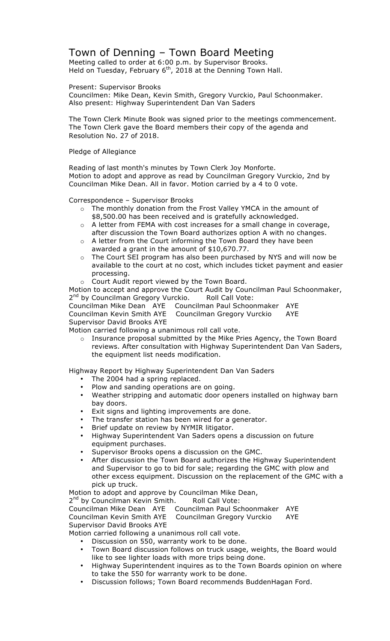## Town of Denning – Town Board Meeting

Meeting called to order at 6:00 p.m. by Supervisor Brooks. Held on Tuesday, February 6<sup>th</sup>, 2018 at the Denning Town Hall.

Present: Supervisor Brooks

Councilmen: Mike Dean, Kevin Smith, Gregory Vurckio, Paul Schoonmaker. Also present: Highway Superintendent Dan Van Saders

The Town Clerk Minute Book was signed prior to the meetings commencement. The Town Clerk gave the Board members their copy of the agenda and Resolution No. 27 of 2018.

Pledge of Allegiance

Reading of last month's minutes by Town Clerk Joy Monforte. Motion to adopt and approve as read by Councilman Gregory Vurckio, 2nd by Councilman Mike Dean. All in favor. Motion carried by a 4 to 0 vote.

Correspondence – Supervisor Brooks

- o The monthly donation from the Frost Valley YMCA in the amount of \$8,500.00 has been received and is gratefully acknowledged.
- o A letter from FEMA with cost increases for a small change in coverage, after discussion the Town Board authorizes option A with no changes.
- o A letter from the Court informing the Town Board they have been awarded a grant in the amount of \$10,670.77.
- o The Court SEI program has also been purchased by NYS and will now be available to the court at no cost, which includes ticket payment and easier processing.
- o Court Audit report viewed by the Town Board.

Motion to accept and approve the Court Audit by Councilman Paul Schoonmaker, 2<sup>nd</sup> by Councilman Gregory Vurckio. Roll Call Vote:

Councilman Mike Dean AYE Councilman Paul Schoonmaker AYE Councilman Kevin Smith AYE Councilman Gregory Vurckio AYE Supervisor David Brooks AYE

Motion carried following a unanimous roll call vote.

o Insurance proposal submitted by the Mike Pries Agency, the Town Board reviews. After consultation with Highway Superintendent Dan Van Saders, the equipment list needs modification.

Highway Report by Highway Superintendent Dan Van Saders

- The 2004 had a spring replaced.
- Plow and sanding operations are on going.
- Weather stripping and automatic door openers installed on highway barn bay doors.
- Exit signs and lighting improvements are done.
- The transfer station has been wired for a generator.
- Brief update on review by NYMIR litigator.
- Highway Superintendent Van Saders opens a discussion on future equipment purchases.
- Supervisor Brooks opens a discussion on the GMC.
- After discussion the Town Board authorizes the Highway Superintendent and Supervisor to go to bid for sale; regarding the GMC with plow and other excess equipment. Discussion on the replacement of the GMC with a pick up truck.

Motion to adopt and approve by Councilman Mike Dean,

2<sup>nd</sup> by Councilman Kevin Smith. Roll Call Vote:

Councilman Mike Dean AYE Councilman Paul Schoonmaker AYE Councilman Kevin Smith AYE Councilman Gregory Vurckio AYE

Supervisor David Brooks AYE

Motion carried following a unanimous roll call vote.

• Discussion on 550, warranty work to be done.

- Town Board discussion follows on truck usage, weights, the Board would like to see lighter loads with more trips being done.
- Highway Superintendent inquires as to the Town Boards opinion on where to take the 550 for warranty work to be done.
- Discussion follows; Town Board recommends BuddenHagan Ford.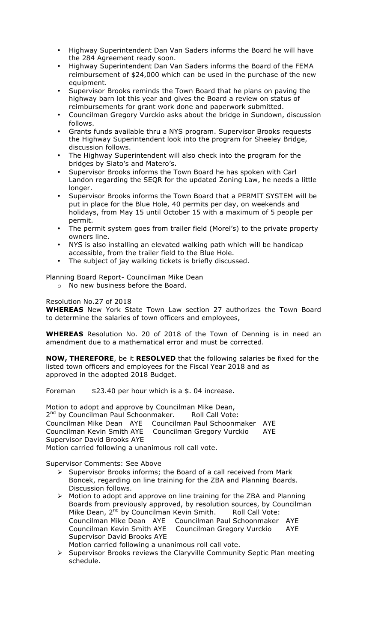- Highway Superintendent Dan Van Saders informs the Board he will have the 284 Agreement ready soon.
- Highway Superintendent Dan Van Saders informs the Board of the FEMA reimbursement of \$24,000 which can be used in the purchase of the new equipment.
- Supervisor Brooks reminds the Town Board that he plans on paving the highway barn lot this year and gives the Board a review on status of reimbursements for grant work done and paperwork submitted.
- Councilman Gregory Vurckio asks about the bridge in Sundown, discussion follows.
- Grants funds available thru a NYS program. Supervisor Brooks requests the Highway Superintendent look into the program for Sheeley Bridge, discussion follows.
- The Highway Superintendent will also check into the program for the bridges by Siato's and Matero's.
- Supervisor Brooks informs the Town Board he has spoken with Carl Landon regarding the SEQR for the updated Zoning Law, he needs a little longer.
- Supervisor Brooks informs the Town Board that a PERMIT SYSTEM will be put in place for the Blue Hole, 40 permits per day, on weekends and holidays, from May 15 until October 15 with a maximum of 5 people per permit.
- The permit system goes from trailer field (Morel's) to the private property owners line.
- NYS is also installing an elevated walking path which will be handicap accessible, from the trailer field to the Blue Hole.
- The subject of jay walking tickets is briefly discussed.

Planning Board Report- Councilman Mike Dean

o No new business before the Board.

## Resolution No.27 of 2018

**WHEREAS** New York State Town Law section 27 authorizes the Town Board to determine the salaries of town officers and employees,

**WHEREAS** Resolution No. 20 of 2018 of the Town of Denning is in need an amendment due to a mathematical error and must be corrected.

**NOW, THEREFORE**, be it **RESOLVED** that the following salaries be fixed for the listed town officers and employees for the Fiscal Year 2018 and as approved in the adopted 2018 Budget.

Foreman \$23.40 per hour which is a \$. 04 increase.

Motion to adopt and approve by Councilman Mike Dean, 2<sup>nd</sup> by Councilman Paul Schoonmaker. Roll Call Vote:<br>Councilman Mike Dean AYE Councilman Paul Schoonm Councilman Paul Schoonmaker AYE Councilman Kevin Smith AYE Councilman Gregory Vurckio AYE Supervisor David Brooks AYE Motion carried following a unanimous roll call vote.

Supervisor Comments: See Above

- $\triangleright$  Supervisor Brooks informs; the Board of a call received from Mark Boncek, regarding on line training for the ZBA and Planning Boards. Discussion follows.
- ! Motion to adopt and approve on line training for the ZBA and Planning Boards from previously approved, by resolution sources, by Councilman Mike Dean, 2<sup>nd</sup> by Councilman Kevin Smith. Roll Call Vote: Councilman Mike Dean AYE Councilman Paul Schoonmaker AYE Councilman Kevin Smith AYE Councilman Gregory Vurckio AYE Supervisor David Brooks AYE Motion carried following a unanimous roll call vote.
- $\triangleright$  Supervisor Brooks reviews the Claryville Community Septic Plan meeting schedule.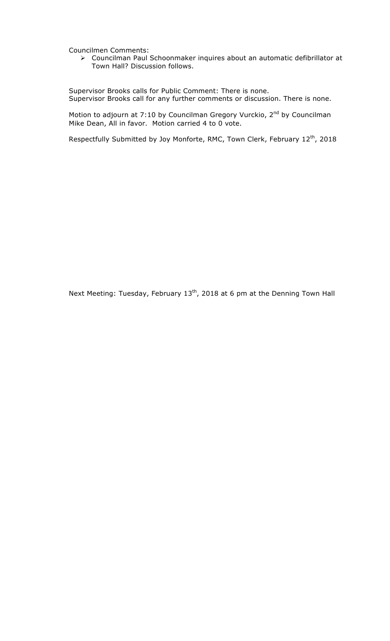Councilmen Comments:

! Councilman Paul Schoonmaker inquires about an automatic defibrillator at Town Hall? Discussion follows.

Supervisor Brooks calls for Public Comment: There is none. Supervisor Brooks call for any further comments or discussion. There is none.

Motion to adjourn at 7:10 by Councilman Gregory Vurckio,  $2<sup>nd</sup>$  by Councilman Mike Dean, All in favor. Motion carried 4 to 0 vote.

Respectfully Submitted by Joy Monforte, RMC, Town Clerk, February 12<sup>th</sup>, 2018

Next Meeting: Tuesday, February 13<sup>th</sup>, 2018 at 6 pm at the Denning Town Hall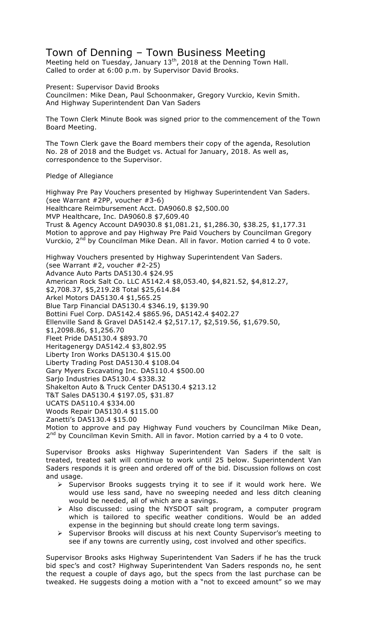## Town of Denning – Town Business Meeting

Meeting held on Tuesday, January 13<sup>th</sup>, 2018 at the Denning Town Hall. Called to order at 6:00 p.m. by Supervisor David Brooks.

Present: Supervisor David Brooks

Councilmen: Mike Dean, Paul Schoonmaker, Gregory Vurckio, Kevin Smith. And Highway Superintendent Dan Van Saders

The Town Clerk Minute Book was signed prior to the commencement of the Town Board Meeting.

The Town Clerk gave the Board members their copy of the agenda, Resolution No. 28 of 2018 and the Budget vs. Actual for January, 2018. As well as, correspondence to the Supervisor.

## Pledge of Allegiance

Highway Pre Pay Vouchers presented by Highway Superintendent Van Saders. (see Warrant #2PP, voucher #3-6) Healthcare Reimbursement Acct. DA9060.8 \$2,500.00 MVP Healthcare, Inc. DA9060.8 \$7,609.40 Trust & Agency Account DA9030.8 \$1,081.21, \$1,286.30, \$38.25, \$1,177.31 Motion to approve and pay Highway Pre Paid Vouchers by Councilman Gregory Vurckio, 2<sup>nd</sup> by Councilman Mike Dean. All in favor. Motion carried 4 to 0 vote. Highway Vouchers presented by Highway Superintendent Van Saders. (see Warrant #2, voucher #2-25) Advance Auto Parts DA5130.4 \$24.95 American Rock Salt Co. LLC A5142.4 \$8,053.40, \$4,821.52, \$4,812.27,

\$2,708.37, \$5,219.28 Total \$25,614.84 Arkel Motors DA5130.4 \$1,565.25 Blue Tarp Financial DA5130.4 \$346.19, \$139.90 Bottini Fuel Corp. DA5142.4 \$865.96, DA5142.4 \$402.27 Ellenville Sand & Gravel DA5142.4 \$2,517.17, \$2,519.56, \$1,679.50, \$1,2098.86, \$1,256.70 Fleet Pride DA5130.4 \$893.70 Heritagenergy DA5142.4 \$3,802.95 Liberty Iron Works DA5130.4 \$15.00 Liberty Trading Post DA5130.4 \$108.04 Gary Myers Excavating Inc. DA5110.4 \$500.00 Sarjo Industries DA5130.4 \$338.32 Shakelton Auto & Truck Center DA5130.4 \$213.12 T&T Sales DA5130.4 \$197.05, \$31.87 UCATS DA5110.4 \$334.00 Woods Repair DA5130.4 \$115.00 Zanetti's DA5130.4 \$15.00 Motion to approve and pay Highway Fund vouchers by Councilman Mike Dean,  $2<sup>nd</sup>$  by Councilman Kevin Smith. All in favor. Motion carried by a 4 to 0 vote.

Supervisor Brooks asks Highway Superintendent Van Saders if the salt is treated, treated salt will continue to work until 25 below. Superintendent Van Saders responds it is green and ordered off of the bid. Discussion follows on cost and usage.

- $\triangleright$  Supervisor Brooks suggests trying it to see if it would work here. We would use less sand, have no sweeping needed and less ditch cleaning would be needed, all of which are a savings.
- > Also discussed: using the NYSDOT salt program, a computer program which is tailored to specific weather conditions. Would be an added expense in the beginning but should create long term savings.
- ! Supervisor Brooks will discuss at his next County Supervisor's meeting to see if any towns are currently using, cost involved and other specifics.

Supervisor Brooks asks Highway Superintendent Van Saders if he has the truck bid spec's and cost? Highway Superintendent Van Saders responds no, he sent the request a couple of days ago, but the specs from the last purchase can be tweaked. He suggests doing a motion with a "not to exceed amount" so we may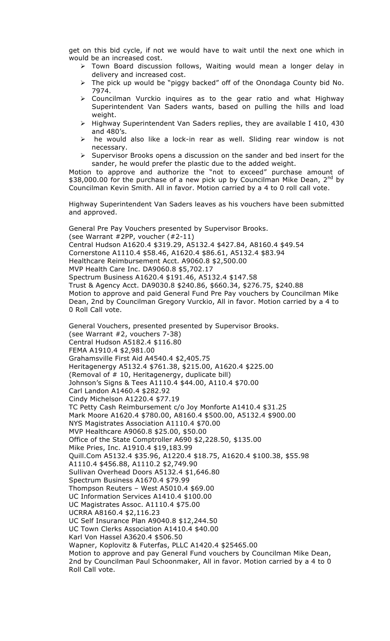get on this bid cycle, if not we would have to wait until the next one which in would be an increased cost.

- $\triangleright$  Town Board discussion follows, Waiting would mean a longer delay in delivery and increased cost.
- $\triangleright$  The pick up would be "piggy backed" off of the Onondaga County bid No. 7974.
- $\triangleright$  Councilman Vurckio inquires as to the gear ratio and what Highway Superintendent Van Saders wants, based on pulling the hills and load weight.
- ! Highway Superintendent Van Saders replies, they are available I 410, 430 and 480's.
- he would also like a lock-in rear as well. Sliding rear window is not necessary.
- $\triangleright$  Supervisor Brooks opens a discussion on the sander and bed insert for the sander, he would prefer the plastic due to the added weight.

Motion to approve and authorize the "not to exceed" purchase amount of \$38,000.00 for the purchase of a new pick up by Councilman Mike Dean, 2<sup>nd</sup> by Councilman Kevin Smith. All in favor. Motion carried by a 4 to 0 roll call vote.

Highway Superintendent Van Saders leaves as his vouchers have been submitted and approved.

General Pre Pay Vouchers presented by Supervisor Brooks. (see Warrant #2PP, voucher (#2-11) Central Hudson A1620.4 \$319.29, A5132.4 \$427.84, A8160.4 \$49.54 Cornerstone A1110.4 \$58.46, A1620.4 \$86.61, A5132.4 \$83.94 Healthcare Reimbursement Acct. A9060.8 \$2,500.00 MVP Health Care Inc. DA9060.8 \$5,702.17 Spectrum Business A1620.4 \$191.46, A5132.4 \$147.58 Trust & Agency Acct. DA9030.8 \$240.86, \$660.34, \$276.75, \$240.88 Motion to approve and paid General Fund Pre Pay vouchers by Councilman Mike Dean, 2nd by Councilman Gregory Vurckio, All in favor. Motion carried by a 4 to 0 Roll Call vote.

General Vouchers, presented presented by Supervisor Brooks. (see Warrant #2, vouchers 7-38) Central Hudson A5182.4 \$116.80 FEMA A1910.4 \$2,981.00 Grahamsville First Aid A4540.4 \$2,405.75 Heritagenergy A5132.4 \$761.38, \$215.00, A1620.4 \$225.00 (Removal of # 10, Heritagenergy, duplicate bill) Johnson's Signs & Tees A1110.4 \$44.00, A110.4 \$70.00 Carl Landon A1460.4 \$282.92 Cindy Michelson A1220.4 \$77.19 TC Petty Cash Reimbursement c/o Joy Monforte A1410.4 \$31.25 Mark Moore A1620.4 \$780.00, A8160.4 \$500.00, A5132.4 \$900.00 NYS Magistrates Association A1110.4 \$70.00 MVP Healthcare A9060.8 \$25.00, \$50.00 Office of the State Comptroller A690 \$2,228.50, \$135.00 Mike Pries, Inc. A1910.4 \$19,183.99 Quill.Com A5132.4 \$35.96, A1220.4 \$18.75, A1620.4 \$100.38, \$55.98 A1110.4 \$456.88, A1110.2 \$2,749.90 Sullivan Overhead Doors A5132.4 \$1,646.80 Spectrum Business A1670.4 \$79.99 Thompson Reuters – West A5010.4 \$69.00 UC Information Services A1410.4 \$100.00 UC Magistrates Assoc. A1110.4 \$75.00 UCRRA A8160.4 \$2,116.23 UC Self Insurance Plan A9040.8 \$12,244.50 UC Town Clerks Association A1410.4 \$40.00 Karl Von Hassel A3620.4 \$506.50 Wapner, Koplovitz & Futerfas, PLLC A1420.4 \$25465.00 Motion to approve and pay General Fund vouchers by Councilman Mike Dean, 2nd by Councilman Paul Schoonmaker, All in favor. Motion carried by a 4 to 0 Roll Call vote.